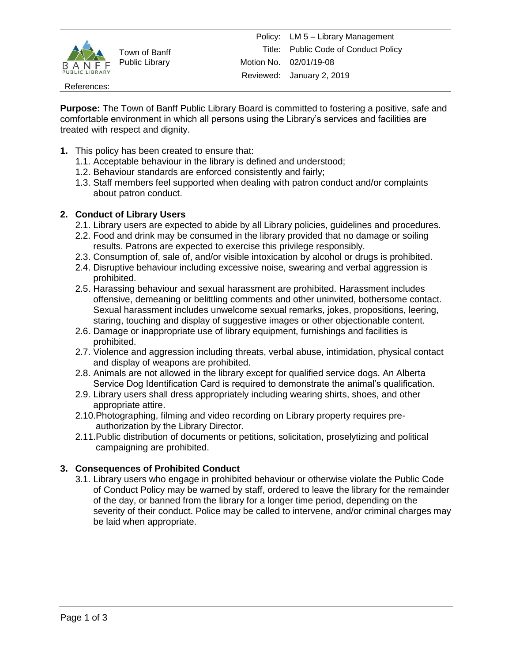

Town of Banff Public Library

References:

**Purpose:** The Town of Banff Public Library Board is committed to fostering a positive, safe and comfortable environment in which all persons using the Library's services and facilities are treated with respect and dignity.

- **1.** This policy has been created to ensure that:
	- 1.1. Acceptable behaviour in the library is defined and understood;
	- 1.2. Behaviour standards are enforced consistently and fairly;
	- 1.3. Staff members feel supported when dealing with patron conduct and/or complaints about patron conduct.

#### **2. Conduct of Library Users**

- 2.1. Library users are expected to abide by all Library policies, guidelines and procedures.
- 2.2. Food and drink may be consumed in the library provided that no damage or soiling results. Patrons are expected to exercise this privilege responsibly.
- 2.3. Consumption of, sale of, and/or visible intoxication by alcohol or drugs is prohibited.
- 2.4. Disruptive behaviour including excessive noise, swearing and verbal aggression is prohibited.
- 2.5. Harassing behaviour and sexual harassment are prohibited. Harassment includes offensive, demeaning or belittling comments and other uninvited, bothersome contact. Sexual harassment includes unwelcome sexual remarks, jokes, propositions, leering, staring, touching and display of suggestive images or other objectionable content.
- 2.6. Damage or inappropriate use of library equipment, furnishings and facilities is prohibited.
- 2.7. Violence and aggression including threats, verbal abuse, intimidation, physical contact and display of weapons are prohibited.
- 2.8. Animals are not allowed in the library except for qualified service dogs. An Alberta Service Dog Identification Card is required to demonstrate the animal's qualification.
- 2.9. Library users shall dress appropriately including wearing shirts, shoes, and other appropriate attire.
- 2.10.Photographing, filming and video recording on Library property requires preauthorization by the Library Director.
- 2.11.Public distribution of documents or petitions, solicitation, proselytizing and political campaigning are prohibited.

### **3. Consequences of Prohibited Conduct**

3.1. Library users who engage in prohibited behaviour or otherwise violate the Public Code of Conduct Policy may be warned by staff, ordered to leave the library for the remainder of the day, or banned from the library for a longer time period, depending on the severity of their conduct. Police may be called to intervene, and/or criminal charges may be laid when appropriate.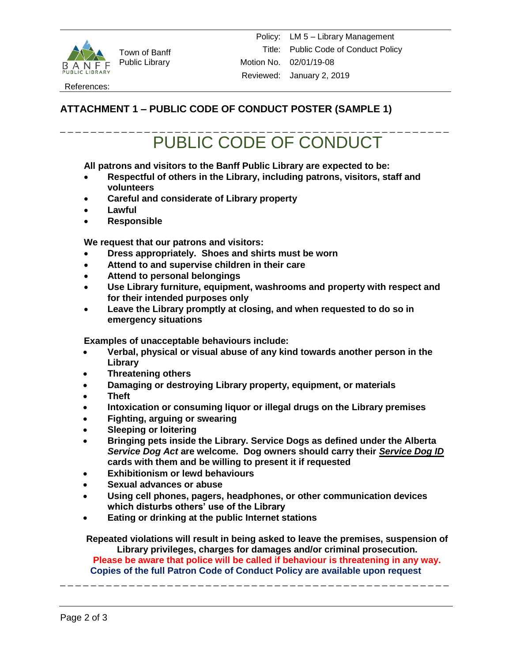

Town of Banff Public Library

References:

## **ATTACHMENT 1 – PUBLIC CODE OF CONDUCT POSTER (SAMPLE 1)**

# \_ \_ \_ \_ \_ \_ \_ \_ \_ \_ \_ \_ \_ \_ \_ \_ \_ \_ \_ \_ \_ \_ \_ \_ \_ \_ \_ \_ \_ \_ \_ \_ \_ \_ \_ \_ \_ \_ \_ \_ \_ \_ \_ \_ \_ \_ \_ \_ \_ \_ \_ PUBLIC CODE OF CONDUCT

**All patrons and visitors to the Banff Public Library are expected to be:**

- **Respectful of others in the Library, including patrons, visitors, staff and volunteers**
- **Careful and considerate of Library property**
- **Lawful**
- **Responsible**

**We request that our patrons and visitors:**

- **Dress appropriately. Shoes and shirts must be worn**
- **Attend to and supervise children in their care**
- **Attend to personal belongings**
- **Use Library furniture, equipment, washrooms and property with respect and for their intended purposes only**
- **Leave the Library promptly at closing, and when requested to do so in emergency situations**

**Examples of unacceptable behaviours include:**

- **Verbal, physical or visual abuse of any kind towards another person in the Library**
- **Threatening others**
- **Damaging or destroying Library property, equipment, or materials**
- **Theft**
- **Intoxication or consuming liquor or illegal drugs on the Library premises**
- **Fighting, arguing or swearing**
- **Sleeping or loitering**
- **Bringing pets inside the Library. Service Dogs as defined under the Alberta**  *Service Dog Act* **are welcome. Dog owners should carry their** *Service Dog ID* **cards with them and be willing to present it if requested**
- **Exhibitionism or lewd behaviours**
- **Sexual advances or abuse**
- **Using cell phones, pagers, headphones, or other communication devices which disturbs others' use of the Library**
- **Eating or drinking at the public Internet stations**

**Repeated violations will result in being asked to leave the premises, suspension of Library privileges, charges for damages and/or criminal prosecution.**

**Please be aware that police will be called if behaviour is threatening in any way. Copies of the full Patron Code of Conduct Policy are available upon request**

\_ \_ \_ \_ \_ \_ \_ \_ \_ \_ \_ \_ \_ \_ \_ \_ \_ \_ \_ \_ \_ \_ \_ \_ \_ \_ \_ \_ \_ \_ \_ \_ \_ \_ \_ \_ \_ \_ \_ \_ \_ \_ \_ \_ \_ \_ \_ \_ \_ \_ \_